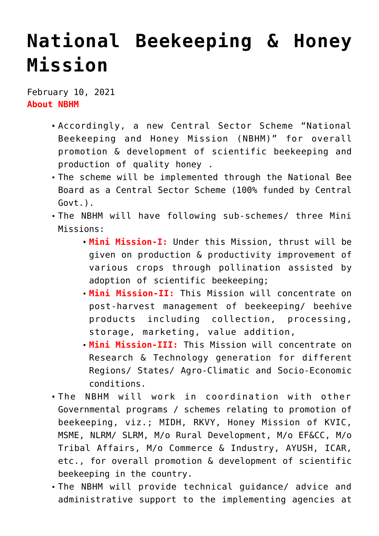## **[National Beekeeping & Honey](https://journalsofindia.com/national-beekeeping-honey-mission/) [Mission](https://journalsofindia.com/national-beekeeping-honey-mission/)**

February 10, 2021 **About NBHM**

- Accordingly, a new Central Sector Scheme "National Beekeeping and Honey Mission (NBHM)" for overall promotion & development of scientific beekeeping and production of quality honey .
- The scheme will be implemented through the National Bee Board as a Central Sector Scheme (100% funded by Central Govt.).
- The NBHM will have following sub-schemes/ three Mini Missions:
	- **Mini Mission-I:** Under this Mission, thrust will be given on production & productivity improvement of various crops through pollination assisted by adoption of scientific beekeeping;
	- **Mini Mission-II:** This Mission will concentrate on post-harvest management of beekeeping/ beehive products including collection, processing, storage, marketing, value addition,
	- **Mini Mission-III:** This Mission will concentrate on Research & Technology generation for different Regions/ States/ Agro-Climatic and Socio-Economic conditions.
- The NBHM will work in coordination with other Governmental programs / schemes relating to promotion of beekeeping, viz.; MIDH, RKVY, Honey Mission of KVIC, MSME, NLRM/ SLRM, M/o Rural Development, M/o EF&CC, M/o Tribal Affairs, M/o Commerce & Industry, AYUSH, ICAR, etc., for overall promotion & development of scientific beekeeping in the country.
- The NBHM will provide technical guidance/ advice and administrative support to the implementing agencies at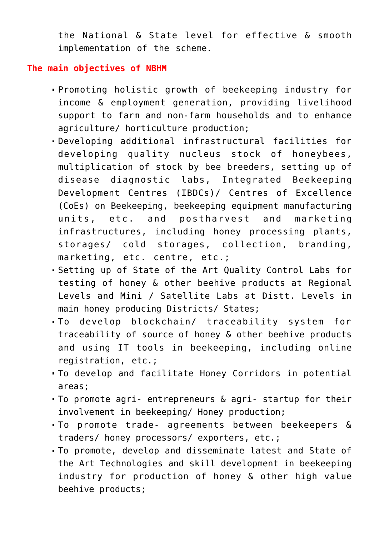the National & State level for effective & smooth implementation of the scheme.

## **The main objectives of NBHM**

- Promoting holistic growth of beekeeping industry for income & employment generation, providing livelihood support to farm and non-farm households and to enhance agriculture/ horticulture production;
- Developing additional infrastructural facilities for developing quality nucleus stock of honeybees, multiplication of stock by bee breeders, setting up of disease diagnostic labs, Integrated Beekeeping Development Centres (IBDCs)/ Centres of Excellence (CoEs) on Beekeeping, beekeeping equipment manufacturing units, etc. and postharvest and marketing infrastructures, including honey processing plants, storages/ cold storages, collection, branding, marketing, etc. centre, etc.;
- Setting up of State of the Art Quality Control Labs for testing of honey & other beehive products at Regional Levels and Mini / Satellite Labs at Distt. Levels in main honey producing Districts/ States;
- To develop blockchain/ traceability system for traceability of source of honey & other beehive products and using IT tools in beekeeping, including online registration, etc.;
- To develop and facilitate Honey Corridors in potential areas;
- To promote agri- entrepreneurs & agri- startup for their involvement in beekeeping/ Honey production;
- To promote trade- agreements between beekeepers & traders/ honey processors/ exporters, etc.;
- To promote, develop and disseminate latest and State of the Art Technologies and skill development in beekeeping industry for production of honey & other high value beehive products;